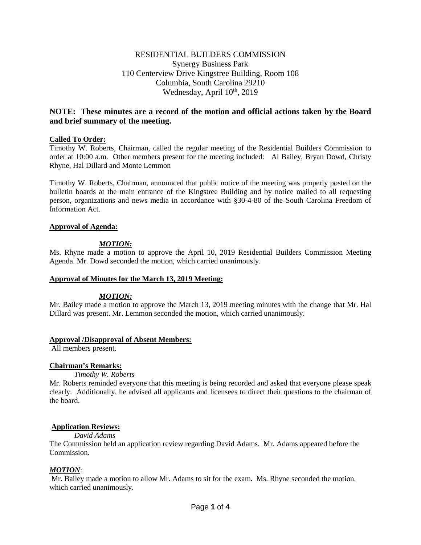## RESIDENTIAL BUILDERS COMMISSION Synergy Business Park 110 Centerview Drive Kingstree Building, Room 108 Columbia, South Carolina 29210 Wednesday, April  $10^{th}$ , 2019

# **NOTE: These minutes are a record of the motion and official actions taken by the Board and brief summary of the meeting.**

## **Called To Order:**

Timothy W. Roberts, Chairman, called the regular meeting of the Residential Builders Commission to order at 10:00 a.m. Other members present for the meeting included: Al Bailey, Bryan Dowd, Christy Rhyne, Hal Dillard and Monte Lemmon

Timothy W. Roberts, Chairman, announced that public notice of the meeting was properly posted on the bulletin boards at the main entrance of the Kingstree Building and by notice mailed to all requesting person, organizations and news media in accordance with §30-4-80 of the South Carolina Freedom of Information Act.

## **Approval of Agenda:**

## *MOTION:*

Ms. Rhyne made a motion to approve the April 10, 2019 Residential Builders Commission Meeting Agenda. Mr. Dowd seconded the motion, which carried unanimously.

## **Approval of Minutes for the March 13, 2019 Meeting:**

## *MOTION:*

Mr. Bailey made a motion to approve the March 13, 2019 meeting minutes with the change that Mr. Hal Dillard was present. Mr. Lemmon seconded the motion, which carried unanimously.

## **Approval /Disapproval of Absent Members:**

All members present.

## **Chairman's Remarks:**

#### *Timothy W. Roberts*

Mr. Roberts reminded everyone that this meeting is being recorded and asked that everyone please speak clearly. Additionally, he advised all applicants and licensees to direct their questions to the chairman of the board.

## **Application Reviews:**

## *David Adams*

The Commission held an application review regarding David Adams. Mr. Adams appeared before the Commission.

## *MOTION*:

Mr. Bailey made a motion to allow Mr. Adams to sit for the exam. Ms. Rhyne seconded the motion, which carried unanimously.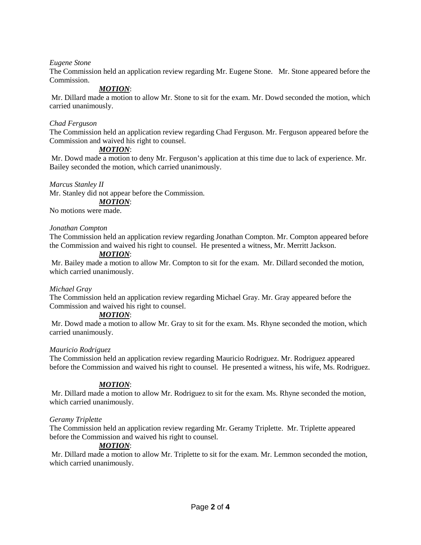*Eugene Stone*

The Commission held an application review regarding Mr. Eugene Stone. Mr. Stone appeared before the Commission.

## *MOTION*:

Mr. Dillard made a motion to allow Mr. Stone to sit for the exam. Mr. Dowd seconded the motion, which carried unanimously.

## *Chad Ferguson*

The Commission held an application review regarding Chad Ferguson. Mr. Ferguson appeared before the Commission and waived his right to counsel.

## *MOTION*:

Mr. Dowd made a motion to deny Mr. Ferguson's application at this time due to lack of experience. Mr. Bailey seconded the motion, which carried unanimously.

## *Marcus Stanley II*

Mr. Stanley did not appear before the Commission.

# *MOTION*:

No motions were made.

## *Jonathan Compton*

The Commission held an application review regarding Jonathan Compton. Mr. Compton appeared before the Commission and waived his right to counsel. He presented a witness, Mr. Merritt Jackson.

## *MOTION*:

Mr. Bailey made a motion to allow Mr. Compton to sit for the exam. Mr. Dillard seconded the motion, which carried unanimously.

## *Michael Gray*

The Commission held an application review regarding Michael Gray. Mr. Gray appeared before the Commission and waived his right to counsel.

## *MOTION*:

Mr. Dowd made a motion to allow Mr. Gray to sit for the exam. Ms. Rhyne seconded the motion, which carried unanimously.

## *Mauricio Rodriguez*

The Commission held an application review regarding Mauricio Rodriguez. Mr. Rodriguez appeared before the Commission and waived his right to counsel. He presented a witness, his wife, Ms. Rodriguez.

## *MOTION*:

Mr. Dillard made a motion to allow Mr. Rodriguez to sit for the exam. Ms. Rhyne seconded the motion, which carried unanimously.

## *Geramy Triplette*

The Commission held an application review regarding Mr. Geramy Triplette. Mr. Triplette appeared before the Commission and waived his right to counsel.

## *MOTION*:

Mr. Dillard made a motion to allow Mr. Triplette to sit for the exam. Mr. Lemmon seconded the motion, which carried unanimously.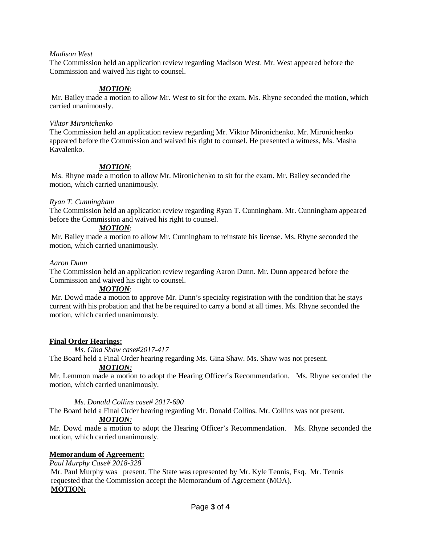#### *Madison West*

The Commission held an application review regarding Madison West. Mr. West appeared before the Commission and waived his right to counsel.

## *MOTION*:

Mr. Bailey made a motion to allow Mr. West to sit for the exam. Ms. Rhyne seconded the motion, which carried unanimously.

#### *Viktor Mironichenko*

The Commission held an application review regarding Mr. Viktor Mironichenko. Mr. Mironichenko appeared before the Commission and waived his right to counsel. He presented a witness, Ms. Masha Kavalenko.

## *MOTION*:

Ms. Rhyne made a motion to allow Mr. Mironichenko to sit for the exam. Mr. Bailey seconded the motion, which carried unanimously.

## *Ryan T. Cunningham*

The Commission held an application review regarding Ryan T. Cunningham. Mr. Cunningham appeared before the Commission and waived his right to counsel.

## *MOTION*:

Mr. Bailey made a motion to allow Mr. Cunningham to reinstate his license. Ms. Rhyne seconded the motion, which carried unanimously.

#### *Aaron Dunn*

The Commission held an application review regarding Aaron Dunn. Mr. Dunn appeared before the Commission and waived his right to counsel.

## *MOTION*:

Mr. Dowd made a motion to approve Mr. Dunn's specialty registration with the condition that he stays current with his probation and that he be required to carry a bond at all times. Ms. Rhyne seconded the motion, which carried unanimously.

## **Final Order Hearings:**

*Ms. Gina Shaw case#2017-417*

The Board held a Final Order hearing regarding Ms. Gina Shaw. Ms. Shaw was not present.

## *MOTION:*

Mr. Lemmon made a motion to adopt the Hearing Officer's Recommendation. Ms. Rhyne seconded the motion, which carried unanimously.

## *Ms. Donald Collins case# 2017-690*

The Board held a Final Order hearing regarding Mr. Donald Collins. Mr. Collins was not present.

## *MOTION:*

Mr. Dowd made a motion to adopt the Hearing Officer's Recommendation. Ms. Rhyne seconded the motion, which carried unanimously.

## **Memorandum of Agreement:**

*Paul Murphy Case# 2018-328*

Mr. Paul Murphy was present. The State was represented by Mr. Kyle Tennis, Esq. Mr. Tennis requested that the Commission accept the Memorandum of Agreement (MOA). **MOTION:**